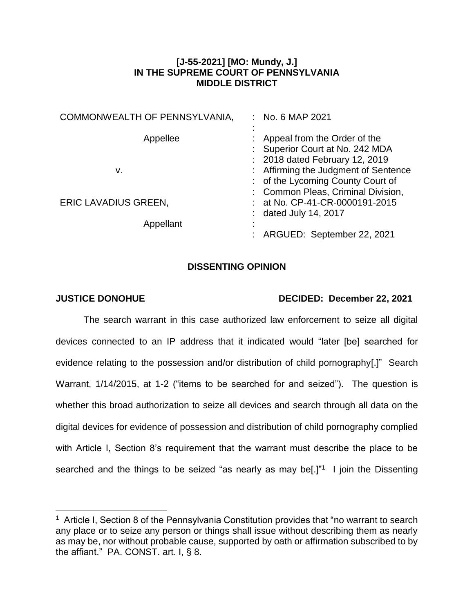# **[J-55-2021] [MO: Mundy, J.] IN THE SUPREME COURT OF PENNSYLVANIA MIDDLE DISTRICT**

| COMMONWEALTH OF PENNSYLVANIA, | : No. 6 MAP 2021                                                                                                |
|-------------------------------|-----------------------------------------------------------------------------------------------------------------|
| Appellee                      | Appeal from the Order of the<br>: Superior Court at No. 242 MDA<br>: 2018 dated February 12, 2019               |
| v.                            | : Affirming the Judgment of Sentence<br>: of the Lycoming County Court of<br>: Common Pleas, Criminal Division, |
| <b>ERIC LAVADIUS GREEN,</b>   | : at No. CP-41-CR-0000191-2015<br>: dated July 14, 2017                                                         |
| Appellant                     | ARGUED: September 22, 2021                                                                                      |

## **DISSENTING OPINION**

 $\overline{a}$ 

### **JUSTICE DONOHUE DECIDED: December 22, 2021**

The search warrant in this case authorized law enforcement to seize all digital devices connected to an IP address that it indicated would "later [be] searched for evidence relating to the possession and/or distribution of child pornography[.]" Search Warrant, 1/14/2015, at 1-2 ("items to be searched for and seized"). The question is whether this broad authorization to seize all devices and search through all data on the digital devices for evidence of possession and distribution of child pornography complied with Article I, Section 8's requirement that the warrant must describe the place to be searched and the things to be seized "as nearly as may be[ $.$ ]"<sup>1</sup> I join the Dissenting

 $1$  Article I, Section 8 of the Pennsylvania Constitution provides that "no warrant to search any place or to seize any person or things shall issue without describing them as nearly as may be, nor without probable cause, supported by oath or affirmation subscribed to by the affiant." PA. CONST. art. I, § 8.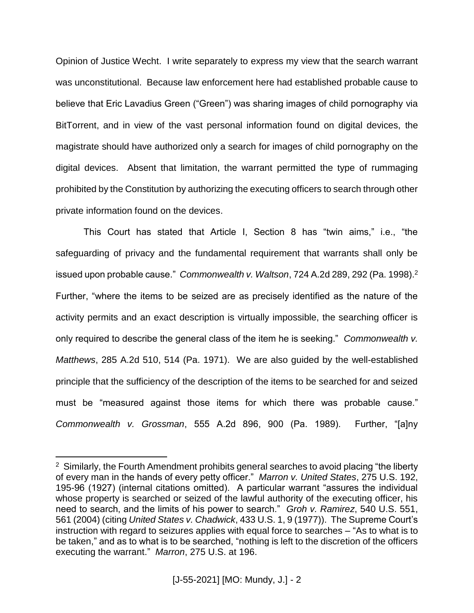Opinion of Justice Wecht. I write separately to express my view that the search warrant was unconstitutional. Because law enforcement here had established probable cause to believe that Eric Lavadius Green ("Green") was sharing images of child pornography via BitTorrent, and in view of the vast personal information found on digital devices, the magistrate should have authorized only a search for images of child pornography on the digital devices. Absent that limitation, the warrant permitted the type of rummaging prohibited by the Constitution by authorizing the executing officers to search through other private information found on the devices.

This Court has stated that Article I, Section 8 has "twin aims," i.e., "the safeguarding of privacy and the fundamental requirement that warrants shall only be issued upon probable cause." *Commonwealth v. Waltson*, 724 A.2d 289, 292 (Pa. 1998). 2 Further, "where the items to be seized are as precisely identified as the nature of the activity permits and an exact description is virtually impossible, the searching officer is only required to describe the general class of the item he is seeking." *Commonwealth v. Matthews*, 285 A.2d 510, 514 (Pa. 1971). We are also guided by the well-established principle that the sufficiency of the description of the items to be searched for and seized must be "measured against those items for which there was probable cause." *Commonwealth v. Grossman*, 555 A.2d 896, 900 (Pa. 1989). Further, "[a]ny

<sup>&</sup>lt;sup>2</sup> Similarly, the Fourth Amendment prohibits general searches to avoid placing "the liberty of every man in the hands of every petty officer." *Marron v. United States*, 275 U.S. 192, 195-96 (1927) (internal citations omitted). A particular warrant "assures the individual whose property is searched or seized of the lawful authority of the executing officer, his need to search, and the limits of his power to search." *Groh v. Ramirez*, 540 U.S. 551, 561 (2004) (citing *United States v. Chadwick*, 433 U.S. 1, 9 (1977)). The Supreme Court's instruction with regard to seizures applies with equal force to searches – "As to what is to be taken," and as to what is to be searched, "nothing is left to the discretion of the officers executing the warrant." *Marron*, 275 U.S. at 196.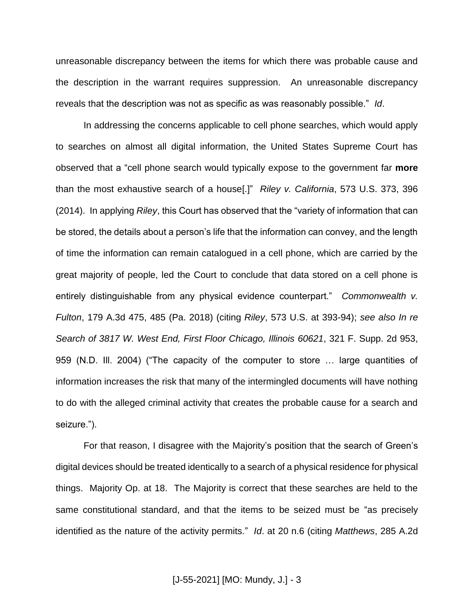unreasonable discrepancy between the items for which there was probable cause and the description in the warrant requires suppression. An unreasonable discrepancy reveals that the description was not as specific as was reasonably possible." *Id*.

In addressing the concerns applicable to cell phone searches, which would apply to searches on almost all digital information, the United States Supreme Court has observed that a "cell phone search would typically expose to the government far **more** than the most exhaustive search of a house[.]" *Riley v. California*, 573 U.S. 373, 396 (2014). In applying *Riley*, this Court has observed that the "variety of information that can be stored, the details about a person's life that the information can convey, and the length of time the information can remain catalogued in a cell phone, which are carried by the great majority of people, led the Court to conclude that data stored on a cell phone is entirely distinguishable from any physical evidence counterpart." *Commonwealth v. Fulton*, 179 A.3d 475, 485 (Pa. 2018) (citing *Riley*, 573 U.S. at 393-94); *see also In re Search of 3817 W. West End, First Floor Chicago, Illinois 60621*, 321 F. Supp. 2d 953, 959 (N.D. Ill. 2004) ("The capacity of the computer to store … large quantities of information increases the risk that many of the intermingled documents will have nothing to do with the alleged criminal activity that creates the probable cause for a search and seizure.").

For that reason, I disagree with the Majority's position that the search of Green's digital devices should be treated identically to a search of a physical residence for physical things. Majority Op. at 18. The Majority is correct that these searches are held to the same constitutional standard, and that the items to be seized must be "as precisely identified as the nature of the activity permits." *Id*. at 20 n.6 (citing *Matthews*, 285 A.2d

[J-55-2021] [MO: Mundy, J.] - 3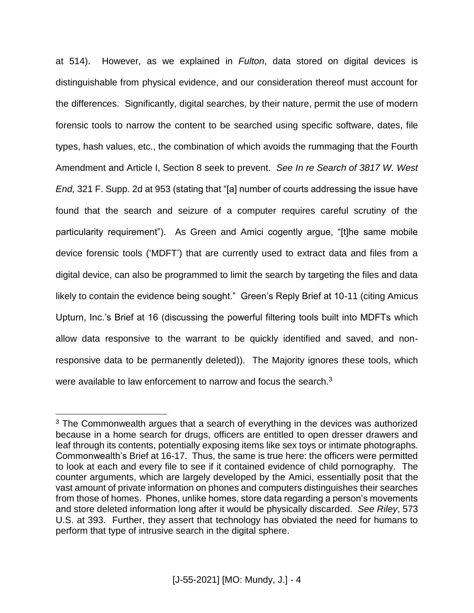at 514). However, as we explained in *Fulton*, data stored on digital devices is distinguishable from physical evidence, and our consideration thereof must account for the differences. Significantly, digital searches, by their nature, permit the use of modern forensic tools to narrow the content to be searched using specific software, dates, file types, hash values, etc., the combination of which avoids the rummaging that the Fourth Amendment and Article I, Section 8 seek to prevent. *See In re Search of 3817 W. West End,* 321 F. Supp. 2d at 953 (stating that "[a] number of courts addressing the issue have found that the search and seizure of a computer requires careful scrutiny of the particularity requirement"). As Green and Amici cogently argue, "[t]he same mobile device forensic tools ('MDFT') that are currently used to extract data and files from a digital device, can also be programmed to limit the search by targeting the files and data likely to contain the evidence being sought." Green's Reply Brief at 10-11 (citing Amicus Upturn, Inc.'s Brief at 16 (discussing the powerful filtering tools built into MDFTs which allow data responsive to the warrant to be quickly identified and saved, and nonresponsive data to be permanently deleted)). The Majority ignores these tools, which were available to law enforcement to narrow and focus the search.<sup>3</sup>

<sup>&</sup>lt;sup>3</sup> The Commonwealth argues that a search of everything in the devices was authorized because in a home search for drugs, officers are entitled to open dresser drawers and leaf through its contents, potentially exposing items like sex toys or intimate photographs. Commonwealth's Brief at 16-17. Thus, the same is true here: the officers were permitted to look at each and every file to see if it contained evidence of child pornography. The counter arguments, which are largely developed by the Amici, essentially posit that the vast amount of private information on phones and computers distinguishes their searches from those of homes. Phones, unlike homes, store data regarding a person's movements and store deleted information long after it would be physically discarded. *See Riley*, 573 U.S. at 393. Further, they assert that technology has obviated the need for humans to perform that type of intrusive search in the digital sphere.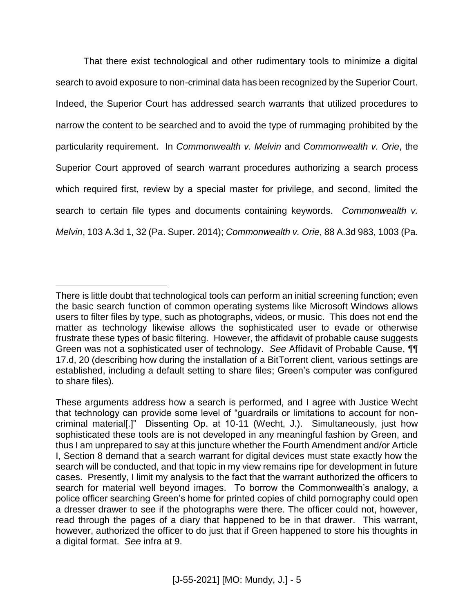That there exist technological and other rudimentary tools to minimize a digital search to avoid exposure to non-criminal data has been recognized by the Superior Court. Indeed, the Superior Court has addressed search warrants that utilized procedures to narrow the content to be searched and to avoid the type of rummaging prohibited by the particularity requirement. In *Commonwealth v. Melvin* and *Commonwealth v. Orie*, the Superior Court approved of search warrant procedures authorizing a search process which required first, review by a special master for privilege, and second, limited the search to certain file types and documents containing keywords. *Commonwealth v. Melvin*, 103 A.3d 1, 32 (Pa. Super. 2014); *Commonwealth v. Orie*, 88 A.3d 983, 1003 (Pa.

There is little doubt that technological tools can perform an initial screening function; even the basic search function of common operating systems like Microsoft Windows allows users to filter files by type, such as photographs, videos, or music. This does not end the matter as technology likewise allows the sophisticated user to evade or otherwise frustrate these types of basic filtering. However, the affidavit of probable cause suggests Green was not a sophisticated user of technology. *See* Affidavit of Probable Cause, ¶¶ 17.d, 20 (describing how during the installation of a BitTorrent client, various settings are established, including a default setting to share files; Green's computer was configured to share files).

These arguments address how a search is performed, and I agree with Justice Wecht that technology can provide some level of "guardrails or limitations to account for noncriminal material[.]" Dissenting Op. at 10-11 (Wecht, J.). Simultaneously, just how sophisticated these tools are is not developed in any meaningful fashion by Green, and thus I am unprepared to say at this juncture whether the Fourth Amendment and/or Article I, Section 8 demand that a search warrant for digital devices must state exactly how the search will be conducted, and that topic in my view remains ripe for development in future cases. Presently, I limit my analysis to the fact that the warrant authorized the officers to search for material well beyond images. To borrow the Commonwealth's analogy, a police officer searching Green's home for printed copies of child pornography could open a dresser drawer to see if the photographs were there. The officer could not, however, read through the pages of a diary that happened to be in that drawer. This warrant, however, authorized the officer to do just that if Green happened to store his thoughts in a digital format. *See* infra at 9.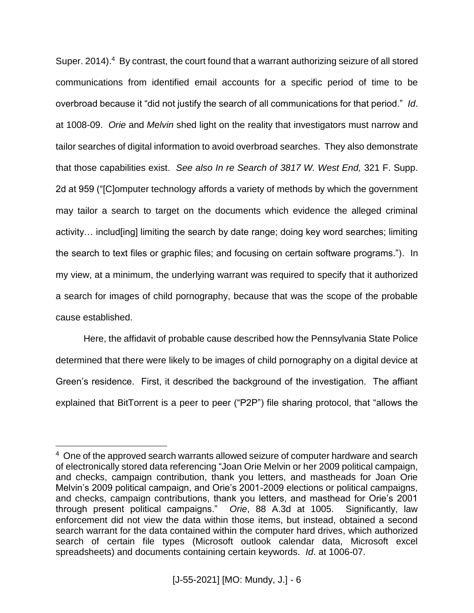Super. 2014).<sup>4</sup> By contrast, the court found that a warrant authorizing seizure of all stored communications from identified email accounts for a specific period of time to be overbroad because it "did not justify the search of all communications for that period." *Id*. at 1008-09. *Orie* and *Melvin* shed light on the reality that investigators must narrow and tailor searches of digital information to avoid overbroad searches. They also demonstrate that those capabilities exist. *See also In re Search of 3817 W. West End,* 321 F. Supp. 2d at 959 ("[C]omputer technology affords a variety of methods by which the government may tailor a search to target on the documents which evidence the alleged criminal activity… includ[ing] limiting the search by date range; doing key word searches; limiting the search to text files or graphic files; and focusing on certain software programs."). In my view, at a minimum, the underlying warrant was required to specify that it authorized a search for images of child pornography, because that was the scope of the probable cause established.

Here, the affidavit of probable cause described how the Pennsylvania State Police determined that there were likely to be images of child pornography on a digital device at Green's residence. First, it described the background of the investigation. The affiant explained that BitTorrent is a peer to peer ("P2P") file sharing protocol, that "allows the

<sup>&</sup>lt;sup>4</sup> One of the approved search warrants allowed seizure of computer hardware and search of electronically stored data referencing "Joan Orie Melvin or her 2009 political campaign, and checks, campaign contribution, thank you letters, and mastheads for Joan Orie Melvin's 2009 political campaign, and Orie's 2001-2009 elections or political campaigns, and checks, campaign contributions, thank you letters, and masthead for Orie's 2001 through present political campaigns." *Orie*, 88 A.3d at 1005. Significantly, law enforcement did not view the data within those items, but instead, obtained a second search warrant for the data contained within the computer hard drives, which authorized search of certain file types (Microsoft outlook calendar data, Microsoft excel spreadsheets) and documents containing certain keywords. *Id*. at 1006-07.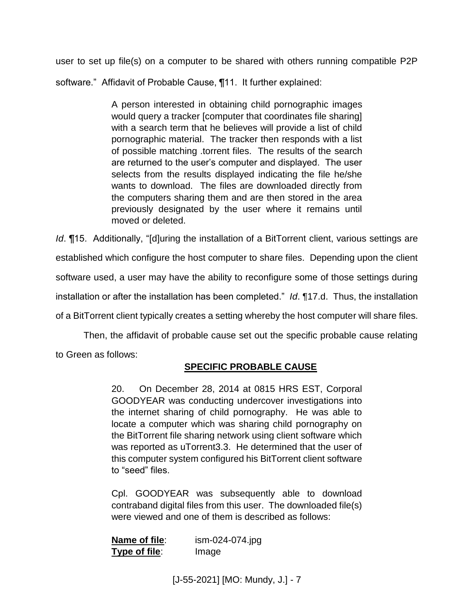user to set up file(s) on a computer to be shared with others running compatible P2P software." Affidavit of Probable Cause, ¶11. It further explained:

> A person interested in obtaining child pornographic images would query a tracker [computer that coordinates file sharing] with a search term that he believes will provide a list of child pornographic material. The tracker then responds with a list of possible matching .torrent files. The results of the search are returned to the user's computer and displayed. The user selects from the results displayed indicating the file he/she wants to download. The files are downloaded directly from the computers sharing them and are then stored in the area previously designated by the user where it remains until moved or deleted.

*Id*. **[15.** Additionally, "[d]uring the installation of a BitTorrent client, various settings are established which configure the host computer to share files. Depending upon the client software used, a user may have the ability to reconfigure some of those settings during installation or after the installation has been completed." *Id*. ¶17.d. Thus, the installation of a BitTorrent client typically creates a setting whereby the host computer will share files.

Then, the affidavit of probable cause set out the specific probable cause relating to Green as follows:

# **SPECIFIC PROBABLE CAUSE**

20. On December 28, 2014 at 0815 HRS EST, Corporal GOODYEAR was conducting undercover investigations into the internet sharing of child pornography. He was able to locate a computer which was sharing child pornography on the BitTorrent file sharing network using client software which was reported as uTorrent3.3. He determined that the user of this computer system configured his BitTorrent client software to "seed" files.

Cpl. GOODYEAR was subsequently able to download contraband digital files from this user. The downloaded file(s) were viewed and one of them is described as follows:

**Name of file**: ism-024-074.jpg **Type of file**: Image

[J-55-2021] [MO: Mundy, J.] - 7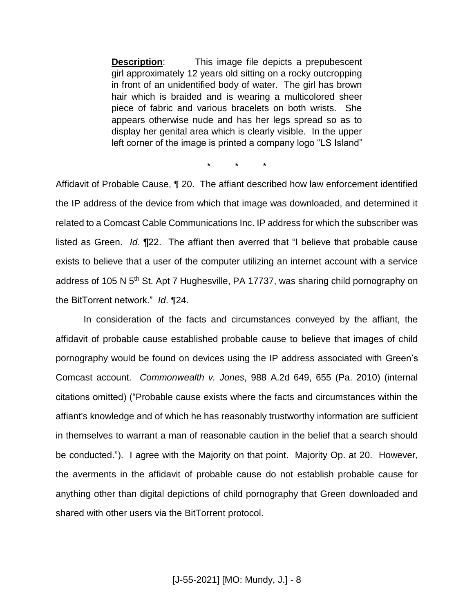**Description:** This image file depicts a prepubescent girl approximately 12 years old sitting on a rocky outcropping in front of an unidentified body of water. The girl has brown hair which is braided and is wearing a multicolored sheer piece of fabric and various bracelets on both wrists. She appears otherwise nude and has her legs spread so as to display her genital area which is clearly visible. In the upper left corner of the image is printed a company logo "LS Island"

\* \* \*

Affidavit of Probable Cause, ¶ 20. The affiant described how law enforcement identified the IP address of the device from which that image was downloaded, and determined it related to a Comcast Cable Communications Inc. IP address for which the subscriber was listed as Green. *Id*. ¶22. The affiant then averred that "I believe that probable cause exists to believe that a user of the computer utilizing an internet account with a service address of 105 N 5<sup>th</sup> St. Apt 7 Hughesville, PA 17737, was sharing child pornography on the BitTorrent network." *Id*. ¶24.

In consideration of the facts and circumstances conveyed by the affiant, the affidavit of probable cause established probable cause to believe that images of child pornography would be found on devices using the IP address associated with Green's Comcast account. *Commonwealth v. Jones*, 988 A.2d 649, 655 (Pa. 2010) (internal citations omitted) ("Probable cause exists where the facts and circumstances within the affiant's knowledge and of which he has reasonably trustworthy information are sufficient in themselves to warrant a man of reasonable caution in the belief that a search should be conducted."). I agree with the Majority on that point. Majority Op. at 20. However, the averments in the affidavit of probable cause do not establish probable cause for anything other than digital depictions of child pornography that Green downloaded and shared with other users via the BitTorrent protocol.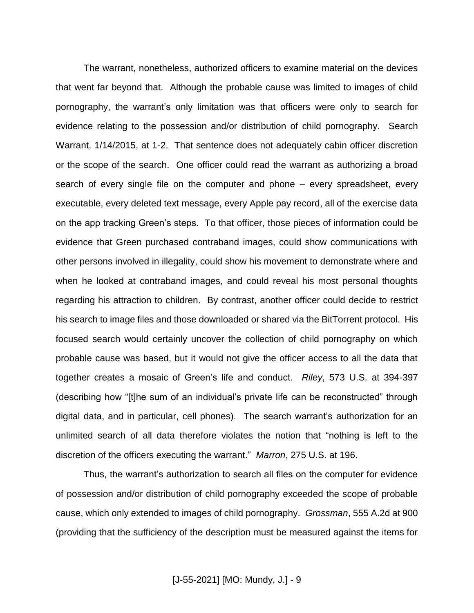The warrant, nonetheless, authorized officers to examine material on the devices that went far beyond that. Although the probable cause was limited to images of child pornography, the warrant's only limitation was that officers were only to search for evidence relating to the possession and/or distribution of child pornography. Search Warrant, 1/14/2015, at 1-2. That sentence does not adequately cabin officer discretion or the scope of the search. One officer could read the warrant as authorizing a broad search of every single file on the computer and phone – every spreadsheet, every executable, every deleted text message, every Apple pay record, all of the exercise data on the app tracking Green's steps. To that officer, those pieces of information could be evidence that Green purchased contraband images, could show communications with other persons involved in illegality, could show his movement to demonstrate where and when he looked at contraband images, and could reveal his most personal thoughts regarding his attraction to children. By contrast, another officer could decide to restrict his search to image files and those downloaded or shared via the BitTorrent protocol. His focused search would certainly uncover the collection of child pornography on which probable cause was based, but it would not give the officer access to all the data that together creates a mosaic of Green's life and conduct. *Riley*, 573 U.S. at 394-397 (describing how "[t]he sum of an individual's private life can be reconstructed" through digital data, and in particular, cell phones). The search warrant's authorization for an unlimited search of all data therefore violates the notion that "nothing is left to the discretion of the officers executing the warrant." *Marron*, 275 U.S. at 196.

Thus, the warrant's authorization to search all files on the computer for evidence of possession and/or distribution of child pornography exceeded the scope of probable cause, which only extended to images of child pornography. *Grossman*, 555 A.2d at 900 (providing that the sufficiency of the description must be measured against the items for